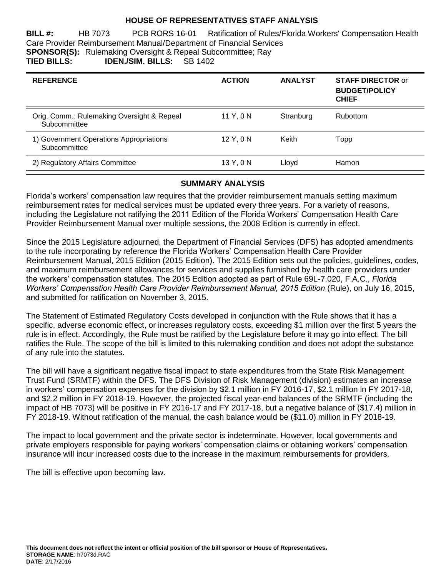# **HOUSE OF REPRESENTATIVES STAFF ANALYSIS**

**BILL #:** HB 7073 PCB RORS 16-01 Ratification of Rules/Florida Workers' Compensation Health Care Provider Reimbursement Manual/Department of Financial Services **SPONSOR(S):** Rulemaking Oversight & Repeal Subcommittee; Ray **TIED BILLS: IDEN./SIM. BILLS:** SB 1402

| <b>REFERENCE</b>                                           | <b>ACTION</b> | <b>ANALYST</b> | <b>STAFF DIRECTOR or</b><br><b>BUDGET/POLICY</b><br><b>CHIEF</b> |
|------------------------------------------------------------|---------------|----------------|------------------------------------------------------------------|
| Orig. Comm.: Rulemaking Oversight & Repeal<br>Subcommittee | 11Y.0N        | Stranburg      | Rubottom                                                         |
| 1) Government Operations Appropriations<br>Subcommittee    | $12$ Y, 0 N   | Keith          | Topp                                                             |
| 2) Regulatory Affairs Committee                            | 13 Y, 0 N     | Lloyd          | Hamon                                                            |

## **SUMMARY ANALYSIS**

Florida's workers' compensation law requires that the provider reimbursement manuals setting maximum reimbursement rates for medical services must be updated every three years. For a variety of reasons, including the Legislature not ratifying the 2011 Edition of the Florida Workers' Compensation Health Care Provider Reimbursement Manual over multiple sessions, the 2008 Edition is currently in effect.

Since the 2015 Legislature adjourned, the Department of Financial Services (DFS) has adopted amendments to the rule incorporating by reference the Florida Workers' Compensation Health Care Provider Reimbursement Manual, 2015 Edition (2015 Edition). The 2015 Edition sets out the policies, guidelines, codes, and maximum reimbursement allowances for services and supplies furnished by health care providers under the workers' compensation statutes. The 2015 Edition adopted as part of Rule 69L-7.020, F.A.C., *Florida*  Workers' Compensation Health Care Provider Reimbursement Manual, 2015 Edition (Rule), on July 16, 2015, and submitted for ratification on November 3, 2015.

The Statement of Estimated Regulatory Costs developed in conjunction with the Rule shows that it has a specific, adverse economic effect, or increases regulatory costs, exceeding \$1 million over the first 5 years the rule is in effect. Accordingly, the Rule must be ratified by the Legislature before it may go into effect. The bill ratifies the Rule. The scope of the bill is limited to this rulemaking condition and does not adopt the substance of any rule into the statutes.

The bill will have a significant negative fiscal impact to state expenditures from the State Risk Management Trust Fund (SRMTF) within the DFS. The DFS Division of Risk Management (division) estimates an increase in workers' compensation expenses for the division by \$2.1 million in FY 2016-17, \$2.1 million in FY 2017-18, and \$2.2 million in FY 2018-19. However, the projected fiscal year-end balances of the SRMTF (including the impact of HB 7073) will be positive in FY 2016-17 and FY 2017-18, but a negative balance of (\$17.4) million in FY 2018-19. Without ratification of the manual, the cash balance would be (\$11.0) million in FY 2018-19.

The impact to local government and the private sector is indeterminate. However, local governments and private employers responsible for paying workers' compensation claims or obtaining workers' compensation insurance will incur increased costs due to the increase in the maximum reimbursements for providers.

The bill is effective upon becoming law.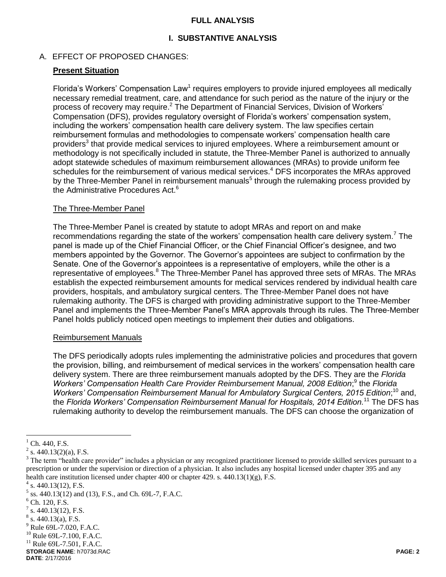## **FULL ANALYSIS**

# **I. SUBSTANTIVE ANALYSIS**

# A. EFFECT OF PROPOSED CHANGES:

# **Present Situation**

Florida's Workers' Compensation Law<sup>1</sup> requires employers to provide injured employees all medically necessary remedial treatment, care, and attendance for such period as the nature of the injury or the process of recovery may require.<sup>2</sup> The Department of Financial Services, Division of Workers' Compensation (DFS), provides regulatory oversight of Florida's workers' compensation system, including the workers' compensation health care delivery system. The law specifies certain reimbursement formulas and methodologies to compensate workers' compensation health care providers<sup>3</sup> that provide medical services to injured employees. Where a reimbursement amount or methodology is not specifically included in statute, the Three-Member Panel is authorized to annually adopt statewide schedules of maximum reimbursement allowances (MRAs) to provide uniform fee schedules for the reimbursement of various medical services.<sup>4</sup> DFS incorporates the MRAs approved by the Three-Member Panel in reimbursement manuals<sup>5</sup> through the rulemaking process provided by the Administrative Procedures Act.<sup>6</sup>

#### The Three-Member Panel

The Three-Member Panel is created by statute to adopt MRAs and report on and make recommendations regarding the state of the workers' compensation health care delivery system.<sup>7</sup> The panel is made up of the Chief Financial Officer, or the Chief Financial Officer's designee, and two members appointed by the Governor. The Governor's appointees are subject to confirmation by the Senate. One of the Governor's appointees is a representative of employers, while the other is a representative of employees.<sup>8</sup> The Three-Member Panel has approved three sets of MRAs. The MRAs establish the expected reimbursement amounts for medical services rendered by individual health care providers, hospitals, and ambulatory surgical centers. The Three-Member Panel does not have rulemaking authority. The DFS is charged with providing administrative support to the Three-Member Panel and implements the Three-Member Panel's MRA approvals through its rules. The Three-Member Panel holds publicly noticed open meetings to implement their duties and obligations.

#### Reimbursement Manuals

The DFS periodically adopts rules implementing the administrative policies and procedures that govern the provision, billing, and reimbursement of medical services in the workers' compensation health care delivery system. There are three reimbursement manuals adopted by the DFS. They are the *Florida*  Workers' Compensation Health Care Provider Reimbursement Manual, 2008 Edition;<sup>9</sup> the Florida Workers' Compensation Reimbursement Manual for Ambulatory Surgical Centers, 2015 Edition;<sup>10</sup> and, the *Florida Workers' Compensation Reimbursement Manual for Hospitals, 2014 Edition.* <sup>11</sup> The DFS has rulemaking authority to develop the reimbursement manuals. The DFS can choose the organization of

 $\overline{a}$ 

 $1$  Ch. 440, F.S.

 $2^2$  s. 440.13(2)(a), F.S.

<sup>&</sup>lt;sup>3</sup> The term "health care provider" includes a physician or any recognized practitioner licensed to provide skilled services pursuant to a prescription or under the supervision or direction of a physician. It also includes any hospital licensed under chapter 395 and any health care institution licensed under chapter 400 or chapter 429. s. 440.13(1)(g), F.S.

 $4$  s. 440.13(12), F.S.

 $<sup>5</sup>$  ss. 440.13(12) and (13), F.S., and Ch. 69L-7, F.A.C.</sup>

 $6$  Ch. 120, F.S.

 $7$  s. 440.13(12), F.S.

 $8$  s. 440.13(a), F.S.

<sup>9</sup> Rule 69L-7.020, F.A.C.

<sup>&</sup>lt;sup>10</sup> Rule 69L-7.100, F.A.C.

 $11$  Rule 69L-7.501, F.A.C.

**STORAGE NAME**: h7073d.RAC **PAGE: 2 DATE**: 2/17/2016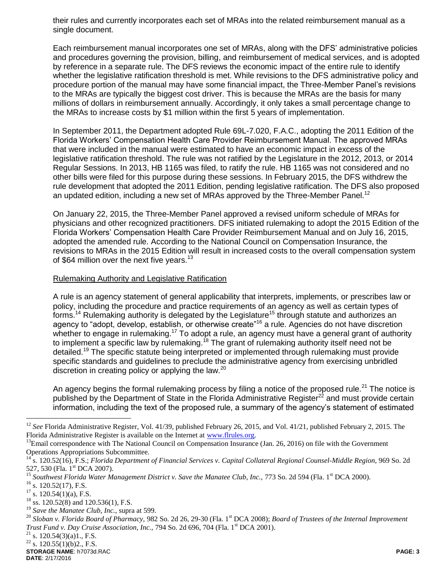their rules and currently incorporates each set of MRAs into the related reimbursement manual as a single document.

Each reimbursement manual incorporates one set of MRAs, along with the DFS' administrative policies and procedures governing the provision, billing, and reimbursement of medical services, and is adopted by reference in a separate rule. The DFS reviews the economic impact of the entire rule to identify whether the legislative ratification threshold is met. While revisions to the DFS administrative policy and procedure portion of the manual may have some financial impact, the Three-Member Panel's revisions to the MRAs are typically the biggest cost driver. This is because the MRAs are the basis for many millions of dollars in reimbursement annually. Accordingly, it only takes a small percentage change to the MRAs to increase costs by \$1 million within the first 5 years of implementation.

In September 2011, the Department adopted Rule 69L-7.020, F.A.C., adopting the 2011 Edition of the Florida Workers' Compensation Health Care Provider Reimbursement Manual. The approved MRAs that were included in the manual were estimated to have an economic impact in excess of the legislative ratification threshold. The rule was not ratified by the Legislature in the 2012, 2013, or 2014 Regular Sessions. In 2013, HB 1165 was filed, to ratify the rule. HB 1165 was not considered and no other bills were filed for this purpose during these sessions. In February 2015, the DFS withdrew the rule development that adopted the 2011 Edition, pending legislative ratification. The DFS also proposed an updated edition, including a new set of MRAs approved by the Three-Member Panel.<sup>12</sup>

On January 22, 2015, the Three-Member Panel approved a revised uniform schedule of MRAs for physicians and other recognized practitioners. DFS initiated rulemaking to adopt the 2015 Edition of the Florida Workers' Compensation Health Care Provider Reimbursement Manual and on July 16, 2015, adopted the amended rule. According to the National Council on Compensation Insurance, the revisions to MRAs in the 2015 Edition will result in increased costs to the overall compensation system of \$64 million over the next five years.<sup>13</sup>

#### Rulemaking Authority and Legislative Ratification

A rule is an agency statement of general applicability that interprets, implements, or prescribes law or policy, including the procedure and practice requirements of an agency as well as certain types of forms.<sup>14</sup> Rulemaking authority is delegated by the Legislature<sup>15</sup> through statute and authorizes an agency to "adopt, develop, establish, or otherwise create"<sup>16</sup> a rule. Agencies do not have discretion whether to engage in rulemaking.<sup>17</sup> To adopt a rule, an agency must have a general grant of authority to implement a specific law by rulemaking.<sup>18</sup> The grant of rulemaking authority itself need not be detailed.<sup>19</sup> The specific statute being interpreted or implemented through rulemaking must provide specific standards and guidelines to preclude the administrative agency from exercising unbridled discretion in creating policy or applying the law.<sup>20</sup>

An agency begins the formal rulemaking process by filing a notice of the proposed rule.<sup>21</sup> The notice is published by the Department of State in the Florida Administrative Register<sup>22</sup> and must provide certain information, including the text of the proposed rule, a summary of the agency's statement of estimated

 $\overline{a}$ 

<sup>&</sup>lt;sup>12</sup> See Florida Administrative Register, Vol. 41/39, published February 26, 2015, and Vol. 41/21, published February 2, 2015. The Florida Administrative Register is available on the Internet at www.flrules.org.

 $13$ Email correspondence with The National Council on Compensation Insurance (Jan. 26, 2016) on file with the Government Operations Appropriations Subcommittee.

<sup>14</sup> s. 120.52(16), F.S.; *Florida Department of Financial Services v. Capital Collateral Regional Counsel-Middle Region,* 969 So. 2d 527, 530 (Fla. 1<sup>st</sup> DCA 2007).

Southwest Florida Water Management District v. Save the Manatee Club, Inc., 773 So. 2d 594 (Fla. 1<sup>st</sup> DCA 2000).

 $^{16}$  s. 120.52(17), F.S.

 $17$  s. 120.54(1)(a), F.S.

 $^{18}$  ss. 120.52(8) and 120.536(1), F.S.

<sup>19</sup> *Save the Manatee Club, Inc.,* supra at 599.

<sup>&</sup>lt;sup>20</sup> Sloban v. Florida Board of Pharmacy, 982 So. 2d 26, 29-30 (Fla. 1<sup>st</sup> DCA 2008); *Board of Trustees of the Internal Improvement Trust Fund v. Day Cruise Association, Inc., 794 So. 2d 696, 704 (Fla. 1<sup>st</sup> DCA 2001).* 

 $21$  s. 120.54(3)(a)1., F.S.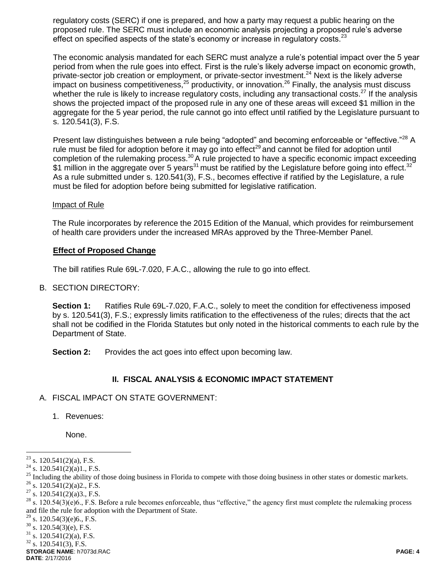regulatory costs (SERC) if one is prepared, and how a party may request a public hearing on the proposed rule. The SERC must include an economic analysis projecting a proposed rule's adverse effect on specified aspects of the state's economy or increase in regulatory costs.<sup>23</sup>

The economic analysis mandated for each SERC must analyze a rule's potential impact over the 5 year period from when the rule goes into effect. First is the rule's likely adverse impact on economic growth, private-sector job creation or employment, or private-sector investment.<sup>24</sup> Next is the likely adverse impact on business competitiveness,  $25$  productivity, or innovation.  $26$  Finally, the analysis must discuss whether the rule is likely to increase regulatory costs, including any transactional costs.<sup>27</sup> If the analysis shows the projected impact of the proposed rule in any one of these areas will exceed \$1 million in the aggregate for the 5 year period, the rule cannot go into effect until ratified by the Legislature pursuant to s. 120.541(3), F.S.

Present law distinguishes between a rule being "adopted" and becoming enforceable or "effective."<sup>28</sup> A rule must be filed for adoption before it may go into effect<sup>29</sup> and cannot be filed for adoption until completion of the rulemaking process.<sup>30</sup> A rule projected to have a specific economic impact exceeding \$1 million in the aggregate over 5 years<sup>31</sup> must be ratified by the Legislature before going into effect.<sup>32</sup> As a rule submitted under s. 120.541(3), F.S., becomes effective if ratified by the Legislature, a rule must be filed for adoption before being submitted for legislative ratification.

#### Impact of Rule

The Rule incorporates by reference the 2015 Edition of the Manual, which provides for reimbursement of health care providers under the increased MRAs approved by the Three-Member Panel.

#### **Effect of Proposed Change**

The bill ratifies Rule 69L-7.020, F.A.C., allowing the rule to go into effect.

#### B. SECTION DIRECTORY:

**Section 1:** Ratifies Rule 69L-7.020, F.A.C., solely to meet the condition for effectiveness imposed by s. 120.541(3), F.S.; expressly limits ratification to the effectiveness of the rules; directs that the act shall not be codified in the Florida Statutes but only noted in the historical comments to each rule by the Department of State.

**Section 2:** Provides the act goes into effect upon becoming law.

#### **II. FISCAL ANALYSIS & ECONOMIC IMPACT STATEMENT**

#### A. FISCAL IMPACT ON STATE GOVERNMENT:

1. Revenues:

None.

 $\overline{a}$ 

**STORAGE NAME**: h7073d.RAC **PAGE: 4**

 $23$  s. 120.541(2)(a), F.S.

 $^{24}$  s. 120.541(2)(a)1., F.S.

<sup>&</sup>lt;sup>25</sup> Including the ability of those doing business in Florida to compete with those doing business in other states or domestic markets.

 $26$  s. 120.541(2)(a)2., F.S.

 $27$  s. 120.541(2)(a)3., F.S.

 $28$  s. 120.54(3)(e)6., F.S. Before a rule becomes enforceable, thus "effective," the agency first must complete the rulemaking process and file the rule for adoption with the Department of State.

<sup>&</sup>lt;sup>29</sup> s. 120.54(3)(e)6., F.S.<br><sup>30</sup> s. 120.54(3)(e) F.S.

s.  $120.54(3)$ (e), F.S.

 $31$  s. 120.541(2)(a), F.S.

 $32$  s. 120.541(3), F.S.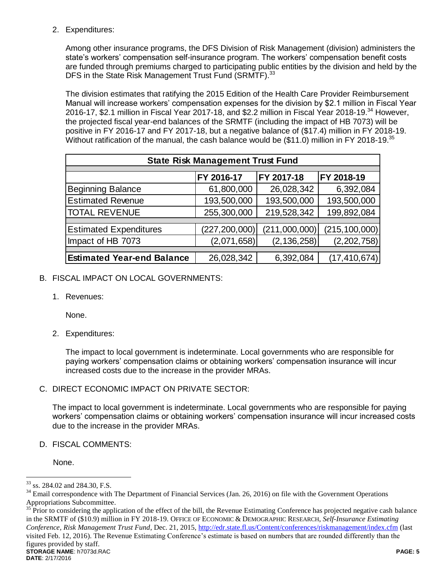2. Expenditures:

Among other insurance programs, the DFS Division of Risk Management (division) administers the state's workers' compensation self-insurance program. The workers' compensation benefit costs are funded through premiums charged to participating public entities by the division and held by the DFS in the State Risk Management Trust Fund (SRMTF).<sup>33</sup>

The division estimates that ratifying the 2015 Edition of the Health Care Provider Reimbursement Manual will increase workers' compensation expenses for the division by \$2.1 million in Fiscal Year 2016-17, \$2.1 million in Fiscal Year 2017-18, and \$2.2 million in Fiscal Year 2018-19.<sup>34</sup> However, the projected fiscal year-end balances of the SRMTF (including the impact of HB 7073) will be positive in FY 2016-17 and FY 2017-18, but a negative balance of (\$17.4) million in FY 2018-19. Without ratification of the manual, the cash balance would be (\$11.0) million in FY 2018-19.<sup>35</sup>

| <b>State Risk Management Trust Fund</b> |                 |               |                 |  |  |
|-----------------------------------------|-----------------|---------------|-----------------|--|--|
|                                         |                 |               |                 |  |  |
|                                         | FY 2016-17      | FY 2017-18    | FY 2018-19      |  |  |
| <b>Beginning Balance</b>                | 61,800,000      | 26,028,342    | 6,392,084       |  |  |
| <b>Estimated Revenue</b>                | 193,500,000     | 193,500,000   | 193,500,000     |  |  |
| <b>TOTAL REVENUE</b>                    | 255,300,000     | 219,528,342   | 199,892,084     |  |  |
|                                         |                 |               |                 |  |  |
| <b>Estimated Expenditures</b>           | (227, 200, 000) | (211,000,000) | (215, 100, 000) |  |  |
| Impact of HB 7073                       | (2,071,658)     | (2, 136, 258) | (2,202,758)     |  |  |
|                                         |                 |               |                 |  |  |
| <b>Estimated Year-end Balance</b>       | 26,028,342      | 6,392,084     | (17, 410, 674)  |  |  |

- B. FISCAL IMPACT ON LOCAL GOVERNMENTS:
	- 1. Revenues:

None.

2. Expenditures:

The impact to local government is indeterminate. Local governments who are responsible for paying workers' compensation claims or obtaining workers' compensation insurance will incur increased costs due to the increase in the provider MRAs.

C. DIRECT ECONOMIC IMPACT ON PRIVATE SECTOR:

The impact to local government is indeterminate. Local governments who are responsible for paying workers' compensation claims or obtaining workers' compensation insurance will incur increased costs due to the increase in the provider MRAs.

D. FISCAL COMMENTS:

None.

 $\overline{a}$ <sup>33</sup> ss. 284.02 and 284.30, F.S.

 $34$  Email correspondence with The Department of Financial Services (Jan. 26, 2016) on file with the Government Operations Appropriations Subcommittee.

**STORAGE NAME**: h7073d.RAC **PAGE: 5 DATE**: 2/17/2016 <sup>35</sup> Prior to considering the application of the effect of the bill, the Revenue Estimating Conference has projected negative cash balance in the SRMTF of (\$10.9) million in FY 2018-19. OFFICE OF ECONOMIC & DEMOGRAPHIC RESEARCH, *Self-Insurance Estimating Conference, Risk Management Trust Fund*, Dec. 21, 2015,<http://edr.state.fl.us/Content/conferences/riskmanagement/index.cfm> (last visited Feb. 12, 2016). The Revenue Estimating Conference's estimate is based on numbers that are rounded differently than the figures provided by staff.